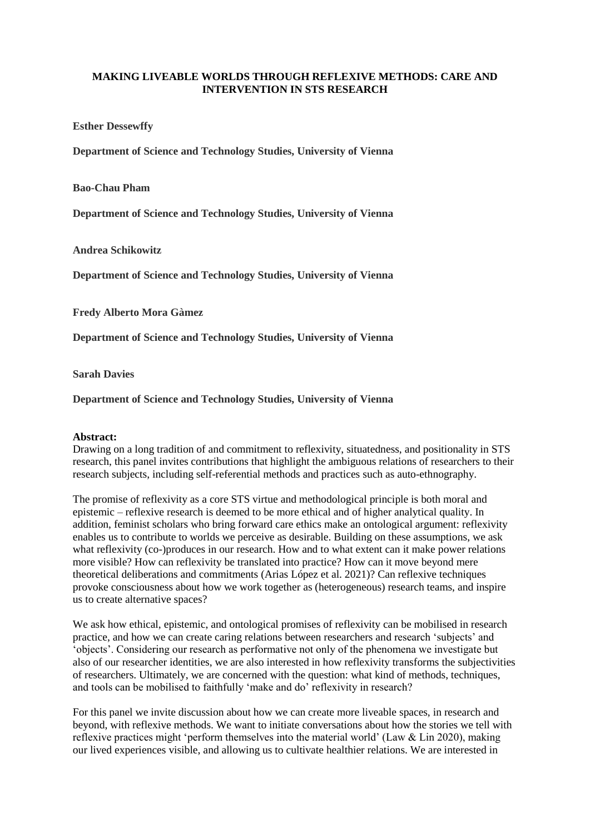## **MAKING LIVEABLE WORLDS THROUGH REFLEXIVE METHODS: CARE AND INTERVENTION IN STS RESEARCH**

**Esther Dessewffy**

**Department of Science and Technology Studies, University of Vienna**

**Bao-Chau Pham**

**Department of Science and Technology Studies, University of Vienna**

**Andrea Schikowitz**

**Department of Science and Technology Studies, University of Vienna**

**Fredy Alberto Mora Gàmez**

**Department of Science and Technology Studies, University of Vienna**

**Sarah Davies**

**Department of Science and Technology Studies, University of Vienna**

## **Abstract:**

Drawing on a long tradition of and commitment to reflexivity, situatedness, and positionality in STS research, this panel invites contributions that highlight the ambiguous relations of researchers to their research subjects, including self-referential methods and practices such as auto-ethnography.

The promise of reflexivity as a core STS virtue and methodological principle is both moral and epistemic – reflexive research is deemed to be more ethical and of higher analytical quality. In addition, feminist scholars who bring forward care ethics make an ontological argument: reflexivity enables us to contribute to worlds we perceive as desirable. Building on these assumptions, we ask what reflexivity (co-)produces in our research. How and to what extent can it make power relations more visible? How can reflexivity be translated into practice? How can it move beyond mere theoretical deliberations and commitments (Arias López et al. 2021)? Can reflexive techniques provoke consciousness about how we work together as (heterogeneous) research teams, and inspire us to create alternative spaces?

We ask how ethical, epistemic, and ontological promises of reflexivity can be mobilised in research practice, and how we can create caring relations between researchers and research 'subjects' and 'objects'. Considering our research as performative not only of the phenomena we investigate but also of our researcher identities, we are also interested in how reflexivity transforms the subjectivities of researchers. Ultimately, we are concerned with the question: what kind of methods, techniques, and tools can be mobilised to faithfully 'make and do' reflexivity in research?

For this panel we invite discussion about how we can create more liveable spaces, in research and beyond, with reflexive methods. We want to initiate conversations about how the stories we tell with reflexive practices might 'perform themselves into the material world' (Law & Lin 2020), making our lived experiences visible, and allowing us to cultivate healthier relations. We are interested in